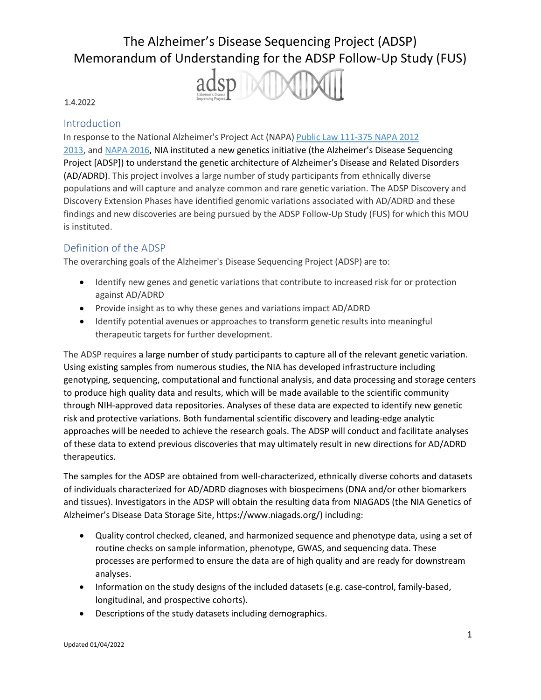

#### 1.4.2022

#### **Introduction**

In response to the National Alzheimer's Project Act (NAPA) Public Law [111-375 NAPA](https://www.congress.gov/111/plaws/publ375/PLAW-111publ375.pdf) 2012 [2013, a](https://www.nia.nih.gov/alzheimers/publication/2012-2013-alzheimers-disease-progress-report/national-plan-address-alzheimers)nd [NAPA 2016, N](https://aspe.hhs.gov/report/national-plan-address-alzheimers-disease-2016-update)IA instituted a new genetics initiative (the Alzheimer's Disease Sequencing Project [ADSP]) to understand the genetic architecture of Alzheimer's Disease and Related Disorders (AD/ADRD). This project involves a large number of study participants from ethnically diverse populations and will capture and analyze common and rare genetic variation. The ADSP Discovery and Discovery Extension Phases have identified genomic variations associated with AD/ADRD and these findings and new discoveries are being pursued by the ADSP Follow-Up Study (FUS) for which this MOU is instituted.

#### Definition of the ADSP

The overarching goals of the Alzheimer's Disease Sequencing Project (ADSP) are to:

- Identify new genes and genetic variations that contribute to increased risk for or protection against AD/ADRD
- Provide insight as to why these genes and variations impact AD/ADRD
- Identify potential avenues or approaches to transform genetic results into meaningful therapeutic targets for further development.

The ADSP requires a large number of study participants to capture all of the relevant genetic variation. Using existing samples from numerous studies, the NIA has developed infrastructure including genotyping, sequencing, computational and functional analysis, and data processing and storage centers to produce high quality data and results, which will be made available to the scientific community through NIH-approved data repositories. Analyses of these data are expected to identify new genetic risk and protective variations. Both fundamental scientific discovery and leading-edge analytic approaches will be needed to achieve the research goals. The ADSP will conduct and facilitate analyses of these data to extend previous discoveries that may ultimately result in new directions for AD/ADRD therapeutics.

The samples for the ADSP are obtained from well-characterized, ethnically diverse cohorts and datasets of individuals characterized for AD/ADRD diagnoses with biospecimens (DNA and/or other biomarkers and tissues). Investigators in the ADSP will obtain the resulting data from NIAGADS (the NIA Genetics of Alzheimer's Disease Data Storage Site, https:/[/www.niagads.org/\)](http://www.niagads.org/)) including:

- Quality control checked, cleaned, and harmonized sequence and phenotype data, using a set of routine checks on sample information, phenotype, GWAS, and sequencing data. These processes are performed to ensure the data are of high quality and are ready for downstream analyses.
- Information on the study designs of the included datasets (e.g. case-control, family-based, longitudinal, and prospective cohorts).
- Descriptions of the study datasets including demographics.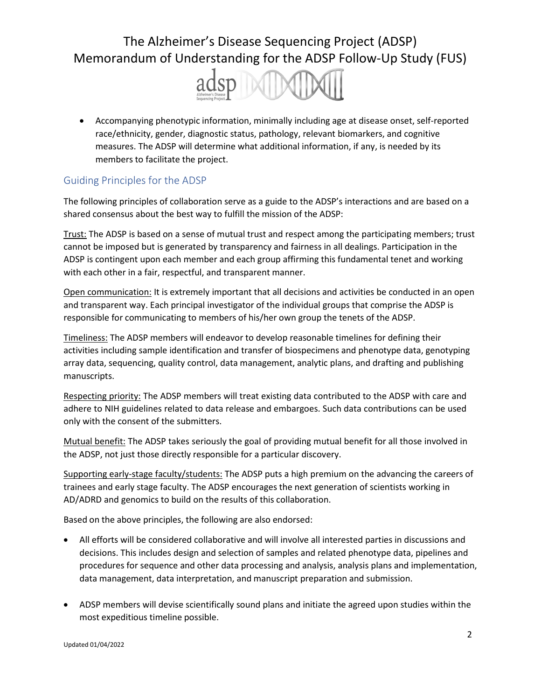

• Accompanying phenotypic information, minimally including age at disease onset, self-reported race/ethnicity, gender, diagnostic status, pathology, relevant biomarkers, and cognitive measures. The ADSP will determine what additional information, if any, is needed by its members to facilitate the project.

### Guiding Principles for the ADSP

The following principles of collaboration serve as a guide to the ADSP's interactions and are based on a shared consensus about the best way to fulfill the mission of the ADSP:

Trust: The ADSP is based on a sense of mutual trust and respect among the participating members; trust cannot be imposed but is generated by transparency and fairness in all dealings. Participation in the ADSP is contingent upon each member and each group affirming this fundamental tenet and working with each other in a fair, respectful, and transparent manner.

Open communication: It is extremely important that all decisions and activities be conducted in an open and transparent way. Each principal investigator of the individual groups that comprise the ADSP is responsible for communicating to members of his/her own group the tenets of the ADSP.

Timeliness: The ADSP members will endeavor to develop reasonable timelines for defining their activities including sample identification and transfer of biospecimens and phenotype data, genotyping array data, sequencing, quality control, data management, analytic plans, and drafting and publishing manuscripts.

Respecting priority: The ADSP members will treat existing data contributed to the ADSP with care and adhere to NIH guidelines related to data release and embargoes. Such data contributions can be used only with the consent of the submitters.

Mutual benefit: The ADSP takes seriously the goal of providing mutual benefit for all those involved in the ADSP, not just those directly responsible for a particular discovery.

Supporting early-stage faculty/students: The ADSP puts a high premium on the advancing the careers of trainees and early stage faculty. The ADSP encourages the next generation of scientists working in AD/ADRD and genomics to build on the results of this collaboration.

Based on the above principles, the following are also endorsed:

- All efforts will be considered collaborative and will involve all interested parties in discussions and decisions. This includes design and selection of samples and related phenotype data, pipelines and procedures for sequence and other data processing and analysis, analysis plans and implementation, data management, data interpretation, and manuscript preparation and submission.
- ADSP members will devise scientifically sound plans and initiate the agreed upon studies within the most expeditious timeline possible.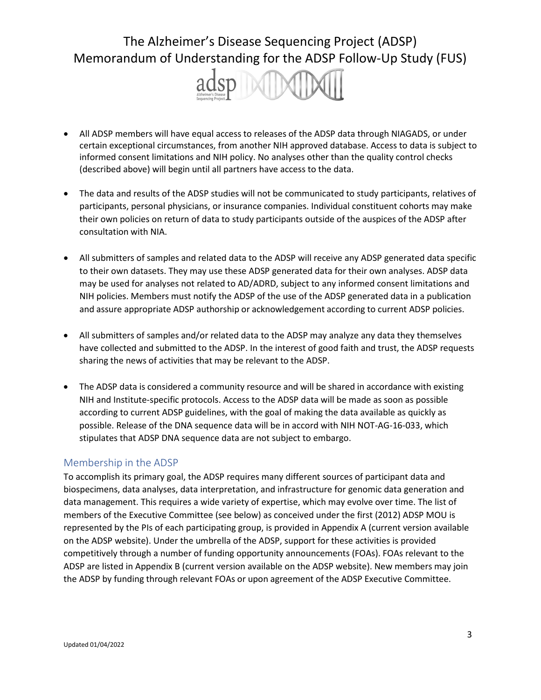

- All ADSP members will have equal access to releases of the ADSP data through NIAGADS, or under certain exceptional circumstances, from another NIH approved database. Access to data is subject to informed consent limitations and NIH policy. No analyses other than the quality control checks (described above) will begin until all partners have access to the data.
- The data and results of the ADSP studies will not be communicated to study participants, relatives of participants, personal physicians, or insurance companies. Individual constituent cohorts may make their own policies on return of data to study participants outside of the auspices of the ADSP after consultation with NIA.
- All submitters of samples and related data to the ADSP will receive any ADSP generated data specific to their own datasets. They may use these ADSP generated data for their own analyses. ADSP data may be used for analyses not related to AD/ADRD, subject to any informed consent limitations and NIH policies. Members must notify the ADSP of the use of the ADSP generated data in a publication and assure appropriate ADSP authorship or acknowledgement according to current ADSP policies.
- All submitters of samples and/or related data to the ADSP may analyze any data they themselves have collected and submitted to the ADSP. In the interest of good faith and trust, the ADSP requests sharing the news of activities that may be relevant to the ADSP.
- The ADSP data is considered a community resource and will be shared in accordance with existing NIH and Institute-specific protocols. Access to the ADSP data will be made as soon as possible according to current ADSP guidelines, with the goal of making the data available as quickly as possible. Release of the DNA sequence data will be in accord with NIH NOT-AG-16-033, which stipulates that ADSP DNA sequence data are not subject to embargo.

### Membership in the ADSP

To accomplish its primary goal, the ADSP requires many different sources of participant data and biospecimens, data analyses, data interpretation, and infrastructure for genomic data generation and data management. This requires a wide variety of expertise, which may evolve over time. The list of members of the Executive Committee (see below) as conceived under the first (2012) ADSP MOU is represented by the PIs of each participating group, is provided in Appendix A (current version available on the ADSP website). Under the umbrella of the ADSP, support for these activities is provided competitively through a number of funding opportunity announcements (FOAs). FOAs relevant to the ADSP are listed in Appendix B (current version available on the ADSP website). New members may join the ADSP by funding through relevant FOAs or upon agreement of the ADSP Executive Committee.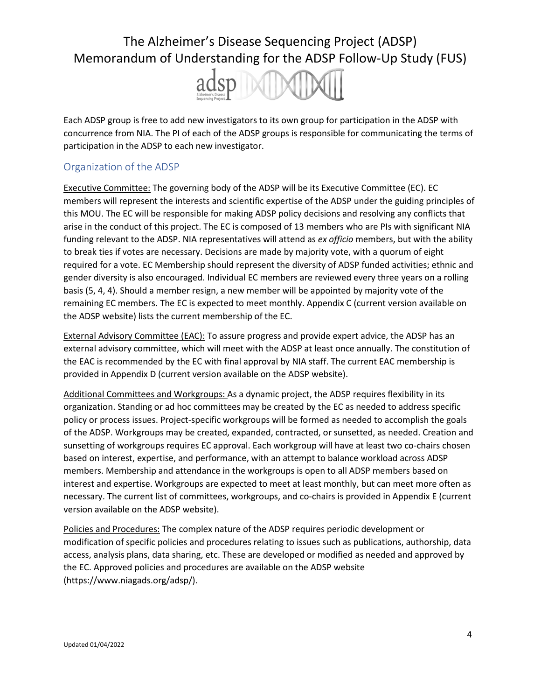

Each ADSP group is free to add new investigators to its own group for participation in the ADSP with concurrence from NIA. The PI of each of the ADSP groups is responsible for communicating the terms of participation in the ADSP to each new investigator.

### Organization of the ADSP

Executive Committee: The governing body of the ADSP will be its Executive Committee (EC). EC members will represent the interests and scientific expertise of the ADSP under the guiding principles of this MOU. The EC will be responsible for making ADSP policy decisions and resolving any conflicts that arise in the conduct of this project. The EC is composed of 13 members who are PIs with significant NIA funding relevant to the ADSP. NIA representatives will attend as *ex officio* members, but with the ability to break ties if votes are necessary. Decisions are made by majority vote, with a quorum of eight required for a vote. EC Membership should represent the diversity of ADSP funded activities; ethnic and gender diversity is also encouraged. Individual EC members are reviewed every three years on a rolling basis (5, 4, 4). Should a member resign, a new member will be appointed by majority vote of the remaining EC members. The EC is expected to meet monthly. Appendix C (current version available on the ADSP website) lists the current membership of the EC.

External Advisory Committee (EAC): To assure progress and provide expert advice, the ADSP has an external advisory committee, which will meet with the ADSP at least once annually. The constitution of the EAC is recommended by the EC with final approval by NIA staff. The current EAC membership is provided in Appendix D (current version available on the ADSP website).

Additional Committees and Workgroups: As a dynamic project, the ADSP requires flexibility in its organization. Standing or ad hoc committees may be created by the EC as needed to address specific policy or process issues. Project-specific workgroups will be formed as needed to accomplish the goals of the ADSP. Workgroups may be created, expanded, contracted, or sunsetted, as needed. Creation and sunsetting of workgroups requires EC approval. Each workgroup will have at least two co-chairs chosen based on interest, expertise, and performance, with an attempt to balance workload across ADSP members. Membership and attendance in the workgroups is open to all ADSP members based on interest and expertise. Workgroups are expected to meet at least monthly, but can meet more often as necessary. The current list of committees, workgroups, and co-chairs is provided in Appendix E (current version available on the ADSP website).

Policies and Procedures: The complex nature of the ADSP requires periodic development or modification of specific policies and procedures relating to issues such as publications, authorship, data access, analysis plans, data sharing, etc. These are developed or modified as needed and approved by the EC. Approved policies and procedures are available on the ADSP website (https:/[/www.niagads.org/adsp/\).](http://www.niagads.org/adsp/))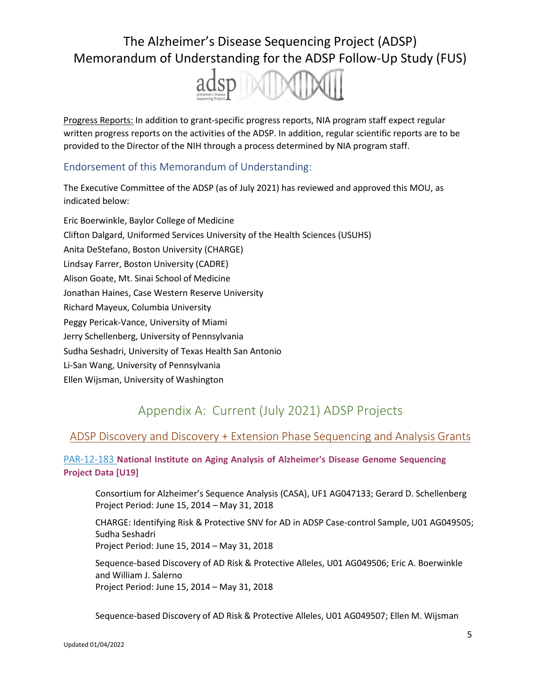

Progress Reports: In addition to grant-specific progress reports, NIA program staff expect regular written progress reports on the activities of the ADSP. In addition, regular scientific reports are to be provided to the Director of the NIH through a process determined by NIA program staff.

### Endorsement of this Memorandum of Understanding:

The Executive Committee of the ADSP (as of July 2021) has reviewed and approved this MOU, as indicated below:

Eric Boerwinkle, Baylor College of Medicine Clifton Dalgard, Uniformed Services University of the Health Sciences (USUHS) Anita DeStefano, Boston University (CHARGE) Lindsay Farrer, Boston University (CADRE) Alison Goate, Mt. Sinai School of Medicine Jonathan Haines, Case Western Reserve University Richard Mayeux, Columbia University Peggy Pericak-Vance, University of Miami Jerry Schellenberg, University of Pennsylvania Sudha Seshadri, University of Texas Health San Antonio Li-San Wang, University of Pennsylvania Ellen Wijsman, University of Washington

## Appendix A: Current (July 2021) ADSP Projects

### ADSP Discovery and Discovery + Extension Phase Sequencing and Analysis Grants

### [PAR-12-183](https://grants.nih.gov/grants/guide/pa-files/PAR-12-183.html) **National Institute on Aging Analysis of Alzheimer's Disease Genome Sequencing Project Data [U19]**

Consortium for Alzheimer's Sequence Analysis (CASA), UF1 AG047133; Gerard D. Schellenberg Project Period: June 15, 2014 – May 31, 2018

CHARGE: Identifying Risk & Protective SNV for AD in ADSP Case-control Sample, U01 AG049505; Sudha Seshadri Project Period: June 15, 2014 – May 31, 2018

Sequence-based Discovery of AD Risk & Protective Alleles, U01 AG049506; Eric A. Boerwinkle and William J. Salerno Project Period: June 15, 2014 – May 31, 2018

Sequence-based Discovery of AD Risk & Protective Alleles, U01 AG049507; Ellen M. Wijsman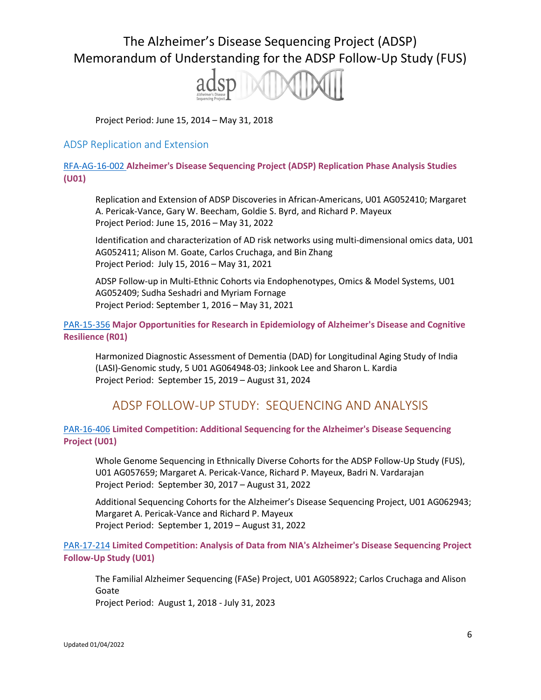

Project Period: June 15, 2014 – May 31, 2018

#### ADSP Replication and Extension

[RFA-AG-16-002](https://grants.nih.gov/grants/guide/rfa-files/RFA-AG-16-002.html) **Alzheimer's Disease Sequencing Project (ADSP) Replication Phase Analysis Studies (U01)**

Replication and Extension of ADSP Discoveries in African-Americans, U01 AG052410; Margaret A. Pericak-Vance, Gary W. Beecham, Goldie S. Byrd, and Richard P. Mayeux Project Period: June 15, 2016 – May 31, 2022

Identification and characterization of AD risk networks using multi-dimensional omics data, U01 AG052411; Alison M. Goate, Carlos Cruchaga, and Bin Zhang Project Period: July 15, 2016 – May 31, 2021

ADSP Follow-up in Multi-Ethnic Cohorts via Endophenotypes, Omics & Model Systems, U01 AG052409; Sudha Seshadri and Myriam Fornage Project Period: September 1, 2016 – May 31, 2021

[PAR-15-356](https://grants.nih.gov/grants/guide/pa-files/PAR-15-356.html) **Major Opportunities for Research in Epidemiology of Alzheimer's Disease and Cognitive Resilience (R01)**

Harmonized Diagnostic Assessment of Dementia (DAD) for Longitudinal Aging Study of India (LASI)-Genomic study, 5 U01 AG064948-03; Jinkook Lee and Sharon L. Kardia Project Period: September 15, 2019 – August 31, 2024

## ADSP FOLLOW-UP STUDY: SEQUENCING AND ANALYSIS

#### [PAR-16-406](https://grants.nih.gov/grants/guide/pa-files/PAR-16-406.html) **Limited Competition: Additional Sequencing for the Alzheimer's Disease Sequencing Project (U01)**

Whole Genome Sequencing in Ethnically Diverse Cohorts for the ADSP Follow-Up Study (FUS), U01 AG057659; Margaret A. Pericak-Vance, Richard P. Mayeux, Badri N. Vardarajan Project Period: September 30, 2017 – August 31, 2022

Additional Sequencing Cohorts for the Alzheimer's Disease Sequencing Project, U01 AG062943; Margaret A. Pericak-Vance and Richard P. Mayeux Project Period: September 1, 2019 – August 31, 2022

[PAR-17-214](https://grants.nih.gov/grants/guide/pa-files/PAR-17-214.html) **Limited Competition: Analysis of Data from NIA's Alzheimer's Disease Sequencing Project Follow-Up Study (U01)**

The Familial Alzheimer Sequencing (FASe) Project, U01 AG058922; Carlos Cruchaga and Alison Goate Project Period: August 1, 2018 - July 31, 2023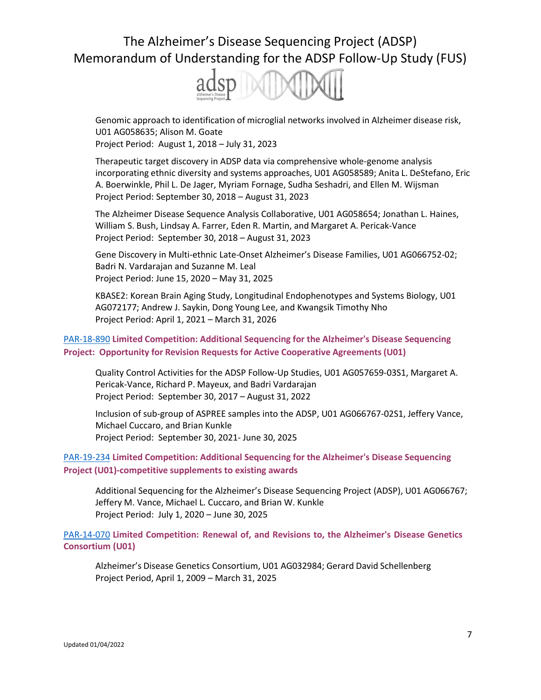

Genomic approach to identification of microglial networks involved in Alzheimer disease risk, U01 AG058635; Alison M. Goate

Project Period: August 1, 2018 – July 31, 2023

Therapeutic target discovery in ADSP data via comprehensive whole-genome analysis incorporating ethnic diversity and systems approaches, U01 AG058589; Anita L. DeStefano, Eric A. Boerwinkle, Phil L. De Jager, Myriam Fornage, Sudha Seshadri, and Ellen M. Wijsman Project Period: September 30, 2018 – August 31, 2023

The Alzheimer Disease Sequence Analysis Collaborative, U01 AG058654; Jonathan L. Haines, William S. Bush, Lindsay A. Farrer, Eden R. Martin, and Margaret A. Pericak-Vance Project Period: September 30, 2018 – August 31, 2023

Gene Discovery in Multi-ethnic Late-Onset Alzheimer's Disease Families, U01 AG066752-02; Badri N. Vardarajan and Suzanne M. Leal Project Period: June 15, 2020 – May 31, 2025

KBASE2: Korean Brain Aging Study, Longitudinal Endophenotypes and Systems Biology, U01 AG072177; Andrew J. Saykin, Dong Young Lee, and Kwangsik Timothy Nho Project Period: April 1, 2021 – March 31, 2026

#### [PAR-18-890](https://grants.nih.gov/grants/guide/pa-files/par-18-890.html) **Limited Competition: Additional Sequencing for the Alzheimer's Disease Sequencing Project: Opportunity for Revision Requests for Active Cooperative Agreements (U01)**

Quality Control Activities for the ADSP Follow-Up Studies, U01 AG057659-03S1, Margaret A. Pericak-Vance, Richard P. Mayeux, and Badri Vardarajan Project Period: September 30, 2017 – August 31, 2022

Inclusion of sub-group of ASPREE samples into the ADSP, U01 AG066767-02S1, Jeffery Vance, Michael Cuccaro, and Brian Kunkle Project Period: September 30, 2021- June 30, 2025

#### [PAR-19-234](https://grants.nih.gov/grants/guide/pa-files/PAR-19-234.html) **Limited Competition: Additional Sequencing for the Alzheimer's Disease Sequencing Project (U01)-competitive supplements to existing awards**

Additional Sequencing for the Alzheimer's Disease Sequencing Project (ADSP), U01 AG066767; Jeffery M. Vance, Michael L. Cuccaro, and Brian W. Kunkle Project Period: July 1, 2020 – June 30, 2025

[PAR-14-070](https://grants.nih.gov/grants/guide/pa-files/PAR-14-070.html) **Limited Competition: Renewal of, and Revisions to, the Alzheimer's Disease Genetics Consortium (U01)**

Alzheimer's Disease Genetics Consortium, U01 AG032984; Gerard David Schellenberg Project Period, April 1, 2009 – March 31, 2025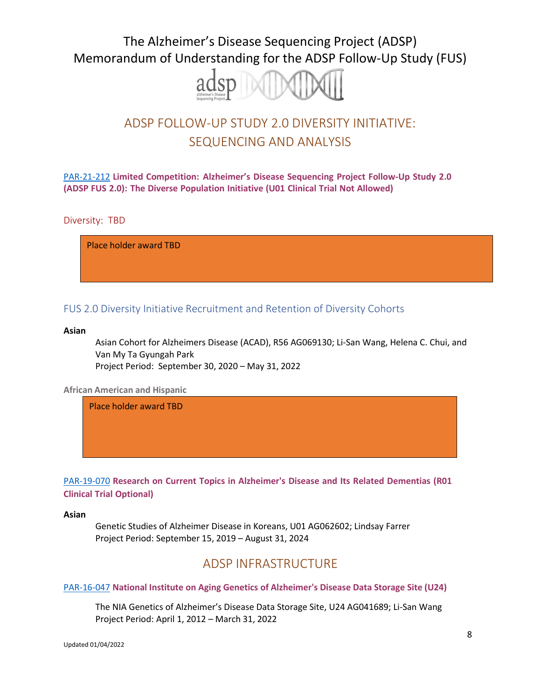

# ADSP FOLLOW-UP STUDY 2.0 DIVERSITY INITIATIVE: SEQUENCING AND ANALYSIS

[PAR-21-212](http://grants.nih.gov/grants/guide/pa-files/PAR-21-212.html) **Limited Competition: Alzheimer's Disease Sequencing Project Follow-Up Study 2.0 (ADSP FUS 2.0): The Diverse Population Initiative (U01 Clinical Trial Not Allowed)**

Diversity: TBD

Additional Sequencing for the Alzheimer Disease Sequencing Project (ADSP) the Follow-Up Study Place holder award TBD

#### FUS 2.0 Diversity Initiative Recruitment and Retention of Diversity Cohorts

#### **Asian**

Asian Cohort for Alzheimers Disease (ACAD), R56 AG069130; Li-San Wang, Helena C. Chui, and Van My Ta Gyungah Park Project Period: September 30, 2020 – May 31, 2022

**African American and Hispanic**

Recruitment and Retention for Alzheimer's Disease Diversity Genetic Cohorts in the ADSP Place holder award TBD

[PAR-19-070](https://grants.nih.gov/grants/guide/pa-files/PAR-19-070.html) **Research on Current Topics in Alzheimer's Disease and Its Related Dementias (R01 Clinical Trial Optional)**

#### **Asian**

Genetic Studies of Alzheimer Disease in Koreans, U01 AG062602; Lindsay Farrer Project Period: September 15, 2019 – August 31, 2024

## ADSP INFRASTRUCTURE

#### [PAR-16-047](https://grants.nih.gov/grants/guide/pa-files/PAR-16-047.html) **National Institute on Aging Genetics of Alzheimer's Disease Data Storage Site (U24)**

The NIA Genetics of Alzheimer's Disease Data Storage Site, U24 AG041689; Li-San Wang Project Period: April 1, 2012 – March 31, 2022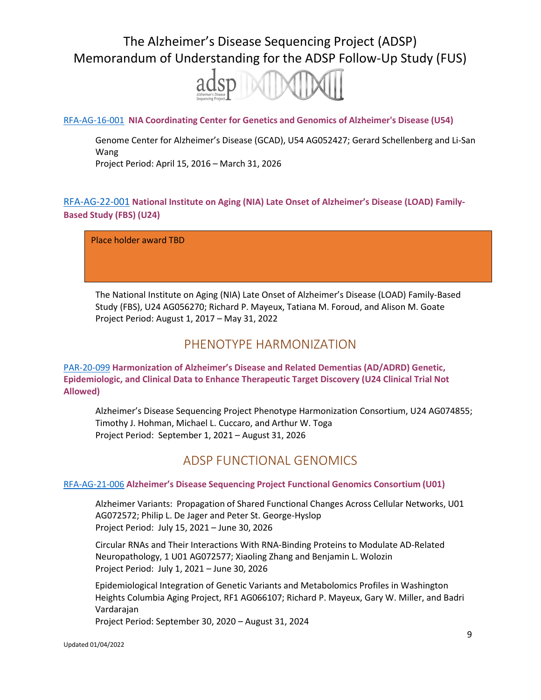

#### [RFA-AG-16-001](https://grants.nih.gov/grants/guide/rfa-files/RFA-AG-16-001.html) **NIA Coordinating Center for Genetics and Genomics of Alzheimer's Disease (U54)**

Genome Center for Alzheimer's Disease (GCAD), U54 AG052427; Gerard Schellenberg and Li-San Wang

Project Period: April 15, 2016 – March 31, 2026

### [RFA-AG-22-001](https://grants.nih.gov/grants/guide/rfa-files/RFA-AG-22-001.html) **National Institute on Aging (NIA) Late Onset of Alzheimer's Disease (LOAD) Family-Based Study (FBS) (U24)**

National Institute on Aging Alzheimer's Disease Family-Based Study (NIALOAD FBS), Place holder award TBD

The National Institute on Aging (NIA) Late Onset of Alzheimer's Disease (LOAD) Family-Based Study (FBS), U24 AG056270; Richard P. Mayeux, Tatiana M. Foroud, and Alison M. Goate Project Period: August 1, 2017 – May 31, 2022

## PHENOTYPE HARMONIZATION

#### [PAR-20-099](https://grants.nih.gov/grants/guide/pa-files/PAR-20-099.html) **Harmonization of Alzheimer's Disease and Related Dementias (AD/ADRD) Genetic, Epidemiologic, and Clinical Data to Enhance Therapeutic Target Discovery (U24 Clinical Trial Not Allowed)**

Alzheimer's Disease Sequencing Project Phenotype Harmonization Consortium, U24 AG074855; Timothy J. Hohman, Michael L. Cuccaro, and Arthur W. Toga Project Period: September 1, 2021 – August 31, 2026

## ADSP FUNCTIONAL GENOMICS

#### [RFA-AG-21-006](https://grants.nih.gov/grants/guide/rfa-files/RFA-AG-21-006.html) **Alzheimer's Disease Sequencing Project Functional Genomics Consortium (U01)**

Alzheimer Variants: Propagation of Shared Functional Changes Across Cellular Networks, U01 AG072572; Philip L. De Jager and Peter St. George-Hyslop Project Period: July 15, 2021 – June 30, 2026

Circular RNAs and Their Interactions With RNA-Binding Proteins to Modulate AD-Related Neuropathology, 1 U01 AG072577; Xiaoling Zhang and Benjamin L. Wolozin Project Period: July 1, 2021 – June 30, 2026

Epidemiological Integration of Genetic Variants and Metabolomics Profiles in Washington Heights Columbia Aging Project, RF1 AG066107; Richard P. Mayeux, Gary W. Miller, and Badri Vardarajan

Project Period: September 30, 2020 – August 31, 2024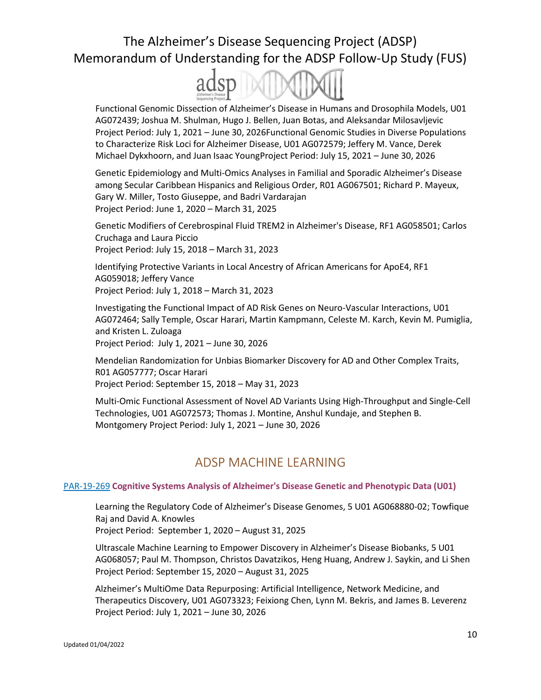

Functional Genomic Dissection of Alzheimer's Disease in Humans and Drosophila Models, U01 AG072439; Joshua M. Shulman, Hugo J. Bellen, Juan Botas, and Aleksandar Milosavljevic Project Period: July 1, 2021 – June 30, 2026Functional Genomic Studies in Diverse Populations to Characterize Risk Loci for Alzheimer Disease, U01 AG072579; Jeffery M. Vance, Derek Michael Dykxhoorn, and Juan Isaac YoungProject Period: July 15, 2021 – June 30, 2026

Genetic Epidemiology and Multi-Omics Analyses in Familial and Sporadic Alzheimer's Disease among Secular Caribbean Hispanics and Religious Order, R01 AG067501; Richard P. Mayeux, Gary W. Miller, Tosto Giuseppe, and Badri Vardarajan Project Period: June 1, 2020 – March 31, 2025

Genetic Modifiers of Cerebrospinal Fluid TREM2 in Alzheimer's Disease, RF1 AG058501; Carlos Cruchaga and Laura Piccio Project Period: July 15, 2018 – March 31, 2023

Identifying Protective Variants in Local Ancestry of African Americans for ApoE4, RF1 AG059018; Jeffery Vance Project Period: July 1, 2018 – March 31, 2023

Investigating the Functional Impact of AD Risk Genes on Neuro-Vascular Interactions, U01 AG072464; Sally Temple, Oscar Harari, Martin Kampmann, Celeste M. Karch, Kevin M. Pumiglia, and Kristen L. Zuloaga

Project Period: July 1, 2021 – June 30, 2026

Mendelian Randomization for Unbias Biomarker Discovery for AD and Other Complex Traits, R01 AG057777; Oscar Harari Project Period: September 15, 2018 – May 31, 2023

Multi-Omic Functional Assessment of Novel AD Variants Using High-Throughput and Single-Cell Technologies, U01 AG072573; Thomas J. Montine, Anshul Kundaje, and Stephen B. Montgomery Project Period: July 1, 2021 – June 30, 2026

## ADSP MACHINE LEARNING

#### PAR-19-269 **Cognitive Systems Analysis of [Alzheimer's](http://grants.nih.gov/grants/guide/pa-files/PAR-19-269.html) Disease Genetic and Phenotypic Data (U01)**

Learning the Regulatory Code of Alzheimer's Disease Genomes, 5 U01 AG068880-02; Towfique Raj and David A. Knowles

Project Period: September 1, 2020 – August 31, 2025

Ultrascale Machine Learning to Empower Discovery in Alzheimer's Disease Biobanks, 5 U01 AG068057; Paul M. Thompson, Christos Davatzikos, Heng Huang, Andrew J. Saykin, and Li Shen Project Period: September 15, 2020 – August 31, 2025

Alzheimer's MultiOme Data Repurposing: Artificial Intelligence, Network Medicine, and Therapeutics Discovery, U01 AG073323; Feixiong Chen, Lynn M. Bekris, and James B. Leverenz Project Period: July 1, 2021 – June 30, 2026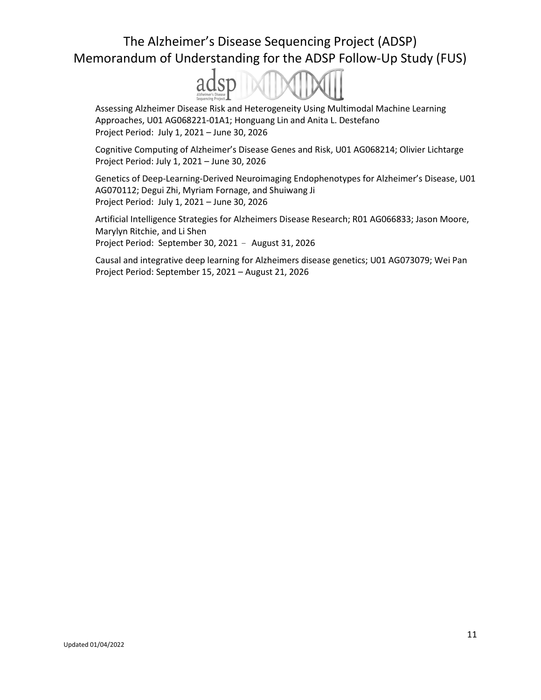

Assessing Alzheimer Disease Risk and Heterogeneity Using Multimodal Machine Learning Approaches, U01 AG068221-01A1; Honguang Lin and Anita L. Destefano Project Period: July 1, 2021 – June 30, 2026

Cognitive Computing of Alzheimer's Disease Genes and Risk, U01 AG068214; Olivier Lichtarge Project Period: July 1, 2021 – June 30, 2026

Genetics of Deep-Learning-Derived Neuroimaging Endophenotypes for Alzheimer's Disease, U01 AG070112; Degui Zhi, Myriam Fornage, and Shuiwang Ji Project Period: July 1, 2021 – June 30, 2026

Artificial Intelligence Strategies for Alzheimers Disease Research; R01 AG066833; Jason Moore, Marylyn Ritchie, and Li Shen Project Period: September 30, 2021 – August 31, 2026

Causal and integrative deep learning for Alzheimers disease genetics; U01 AG073079; Wei Pan Project Period: September 15, 2021 – August 21, 2026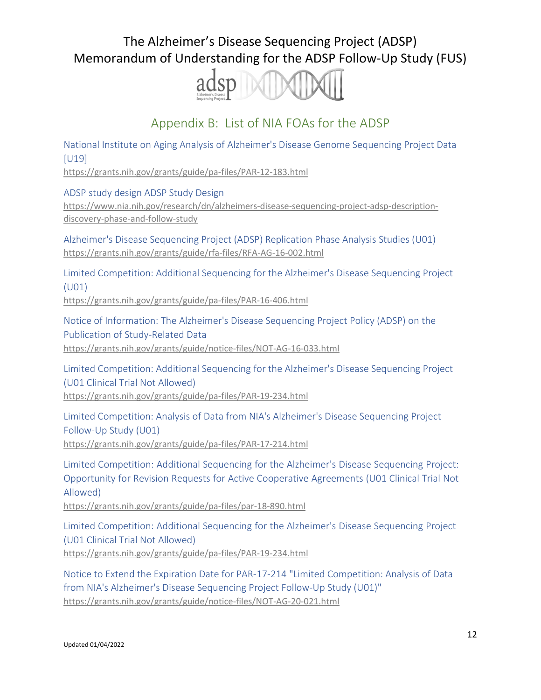

## Appendix B: List of NIA FOAs for the ADSP

National Institute on Aging Analysis of Alzheimer's Disease Genome Sequencing Project Data [U19]

<https://grants.nih.gov/grants/guide/pa-files/PAR-12-183.html>

ADSP study design ADSP Study [Design](https://www.nia.nih.gov/research/dn/alzheimers-disease-sequencing-project-adsp-description-discovery-phase-and-follow-study)

[https://www.nia.nih.gov/research/dn/alzheimers-disease-sequencing-project-adsp-description](https://www.nia.nih.gov/research/dn/alzheimers-disease-sequencing-project-adsp-description-discovery-phase-and-follow-study)[discovery-phase-and-follow-study](https://www.nia.nih.gov/research/dn/alzheimers-disease-sequencing-project-adsp-description-discovery-phase-and-follow-study)

Alzheimer's Disease Sequencing Project (ADSP) Replication Phase Analysis Studies (U01) <https://grants.nih.gov/grants/guide/rfa-files/RFA-AG-16-002.html>

Limited Competition: Additional Sequencing for the Alzheimer's Disease Sequencing Project (U01)

<https://grants.nih.gov/grants/guide/pa-files/PAR-16-406.html>

Notice of Information: The Alzheimer's Disease Sequencing Project Policy (ADSP) on the Publication of Study-Related Data <https://grants.nih.gov/grants/guide/notice-files/NOT-AG-16-033.html>

Limited Competition: Additional Sequencing for the Alzheimer's Disease Sequencing Project (U01 Clinical Trial Not Allowed) <https://grants.nih.gov/grants/guide/pa-files/PAR-19-234.html>

Limited Competition: Analysis of Data from NIA's Alzheimer's Disease Sequencing Project Follow-Up Study (U01) <https://grants.nih.gov/grants/guide/pa-files/PAR-17-214.html>

Limited Competition: Additional Sequencing for the Alzheimer's Disease Sequencing Project: Opportunity for Revision Requests for Active Cooperative Agreements (U01 Clinical Trial Not Allowed)

<https://grants.nih.gov/grants/guide/pa-files/par-18-890.html>

Limited Competition: Additional Sequencing for the Alzheimer's Disease Sequencing Project (U01 Clinical Trial Not Allowed) <https://grants.nih.gov/grants/guide/pa-files/PAR-19-234.html>

Notice to Extend the Expiration Date for PAR-17-214 "Limited Competition: Analysis of Data from NIA's Alzheimer's Disease Sequencing Project Follow-Up Study (U01)" <https://grants.nih.gov/grants/guide/notice-files/NOT-AG-20-021.html>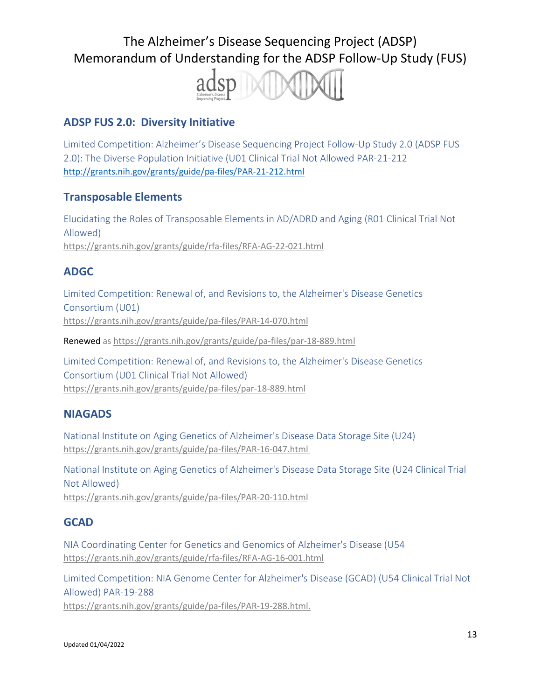

## **ADSP FUS 2.0: Diversity Initiative**

Limited Competition: Alzheimer's Disease Sequencing Project Follow-Up Study 2.0 (ADSP FUS 2.0): The Diverse Population Initiative (U01 Clinical Trial Not Allowed PAR-21-212 <http://grants.nih.gov/grants/guide/pa-files/PAR-21-212.html>

## **Transposable Elements**

Elucidating the Roles of Transposable Elements in AD/ADRD and Aging (R01 Clinical Trial Not Allowed) <https://grants.nih.gov/grants/guide/rfa-files/RFA-AG-22-021.html>

## **ADGC**

Limited Competition: Renewal of, and Revisions to, the Alzheimer's Disease Genetics Consortium (U01) <https://grants.nih.gov/grants/guide/pa-files/PAR-14-070.html>

Renewed as <https://grants.nih.gov/grants/guide/pa-files/par-18-889.html>

Limited Competition: Renewal of, and Revisions to, the Alzheimer's Disease Genetics Consortium (U01 Clinical Trial Not Allowed) <https://grants.nih.gov/grants/guide/pa-files/par-18-889.html>

## **NIAGADS**

National Institute on Aging Genetics of Alzheimer's Disease Data Storage Site (U24) <https://grants.nih.gov/grants/guide/pa-files/PAR-16-047.html>

National Institute on Aging Genetics of Alzheimer's Disease Data Storage Site (U24 Clinical Trial Not Allowed) <https://grants.nih.gov/grants/guide/pa-files/PAR-20-110.html>

## **GCAD**

NIA Coordinating Center for Genetics and Genomics of Alzheimer's Disease (U54 <https://grants.nih.gov/grants/guide/rfa-files/RFA-AG-16-001.html>

Limited Competition: NIA Genome Center for Alzheimer's Disease (GCAD) (U54 Clinical Trial Not Allowed) PAR-19-288 [https://grants.nih.gov/grants/guide/pa-files/PAR-19-288.html.](https://grants.nih.gov/grants/guide/pa-files/PAR-19-288.html)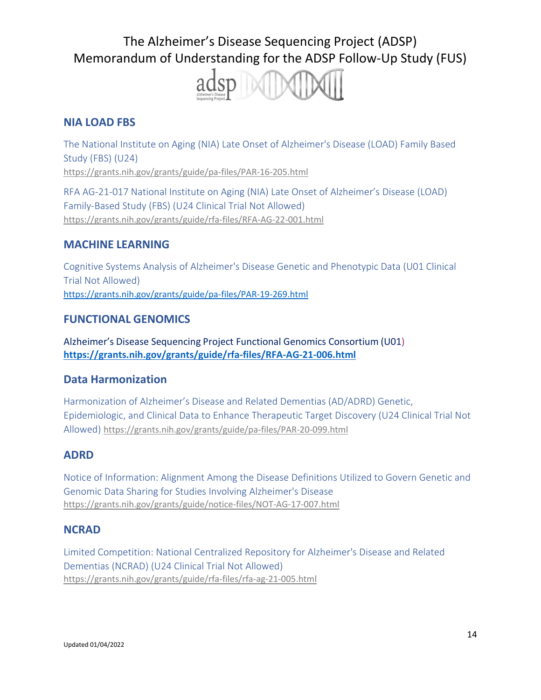

### **NIA LOAD FBS**

The National Institute on Aging (NIA) Late Onset of Alzheimer's Disease (LOAD) Family Based Study (FBS) (U24) <https://grants.nih.gov/grants/guide/pa-files/PAR-16-205.html>

RFA AG-21-017 National Institute on Aging (NIA) Late Onset of Alzheimer's Disease (LOAD) Family-Based Study (FBS) (U24 Clinical Trial Not Allowed) <https://grants.nih.gov/grants/guide/rfa-files/RFA-AG-22-001.html>

### **MACHINE LEARNING**

Cognitive Systems Analysis of Alzheimer's Disease Genetic and Phenotypic Data (U01 Clinical Trial Not Allowed) <https://grants.nih.gov/grants/guide/pa-files/PAR-19-269.html>

### **FUNCTIONAL GENOMICS**

Alzheimer's Disease Sequencing Project Functional Genomics Consortium (U01) **<https://grants.nih.gov/grants/guide/rfa-files/RFA-AG-21-006.html>**

### **Data Harmonization**

Harmonization of Alzheimer's Disease and Related Dementias (AD/ADRD) Genetic, Epidemiologic, and Clinical Data to Enhance Therapeutic Target Discovery (U24 Clinical Trial Not Allowed) <https://grants.nih.gov/grants/guide/pa-files/PAR-20-099.html>

### **ADRD**

Notice of Information: Alignment Among the Disease Definitions Utilized to Govern Genetic and Genomic Data Sharing for Studies Involving Alzheimer's Disease <https://grants.nih.gov/grants/guide/notice-files/NOT-AG-17-007.html>

### **NCRAD**

Limited Competition: National Centralized Repository for Alzheimer's Disease and Related Dementias (NCRAD) (U24 Clinical Trial Not Allowed) <https://grants.nih.gov/grants/guide/rfa-files/rfa-ag-21-005.html>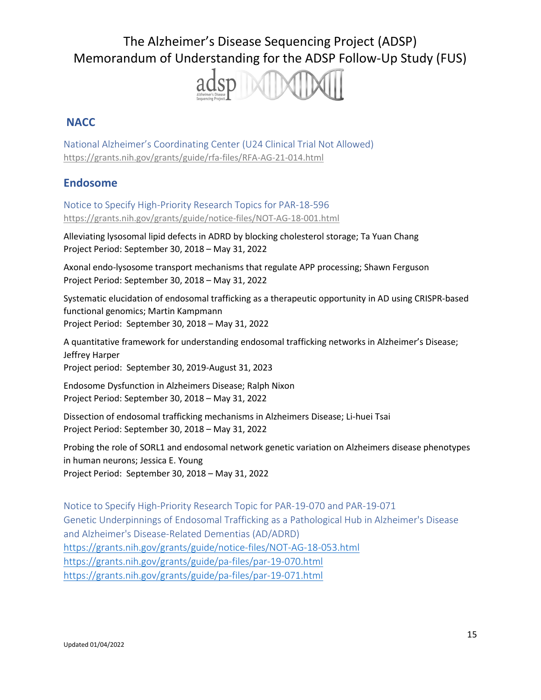

### **NACC**

National Alzheimer's Coordinating Center (U24 Clinical Trial Not Allowed) <https://grants.nih.gov/grants/guide/rfa-files/RFA-AG-21-014.html>

### **Endosome**

Notice to Specify High-Priority Research Topics for PAR-18-596 <https://grants.nih.gov/grants/guide/notice-files/NOT-AG-18-001.html>

Alleviating lysosomal lipid defects in ADRD by blocking cholesterol storage; Ta Yuan Chang Project Period: September 30, 2018 – May 31, 2022

Axonal endo-lysosome transport mechanisms that regulate APP processing; Shawn Ferguson Project Period: September 30, 2018 – May 31, 2022

Systematic elucidation of endosomal trafficking as a therapeutic opportunity in AD using CRISPR-based functional genomics; Martin Kampmann Project Period: September 30, 2018 – May 31, 2022

A quantitative framework for understanding endosomal trafficking networks in Alzheimer's Disease; Jeffrey Harper Project period: September 30, 2019-August 31, 2023

Endosome Dysfunction in Alzheimers Disease; Ralph Nixon Project Period: September 30, 2018 – May 31, 2022

Dissection of endosomal trafficking mechanisms in Alzheimers Disease; Li-huei Tsai Project Period: September 30, 2018 – May 31, 2022

Probing the role of SORL1 and endosomal network genetic variation on Alzheimers disease phenotypes in human neurons; Jessica E. Young Project Period: September 30, 2018 – May 31, 2022

Notice to Specify High-Priority Research Topic for PAR-19-070 and PAR-19-071 Genetic Underpinnings of Endosomal Trafficking as a Pathological Hub in Alzheimer's Disease and Alzheimer's Disease-Related Dementias (AD/ADRD) <https://grants.nih.gov/grants/guide/notice-files/NOT-AG-18-053.html> <https://grants.nih.gov/grants/guide/pa-files/par-19-070.html> <https://grants.nih.gov/grants/guide/pa-files/par-19-071.html>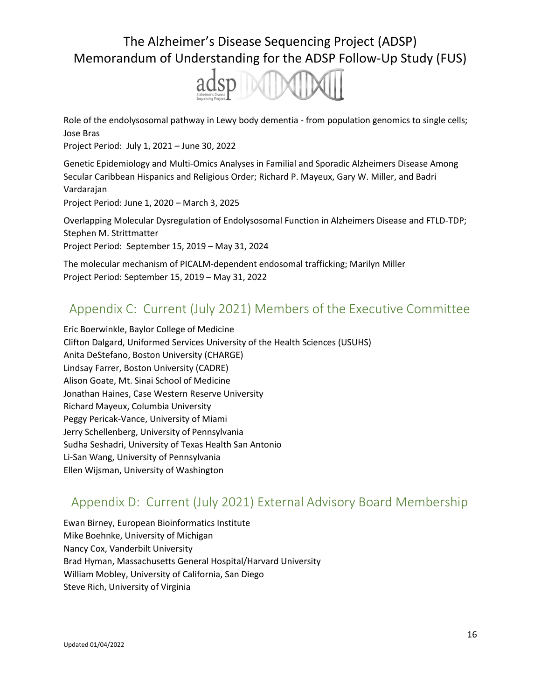

Role of the endolysosomal pathway in Lewy body dementia - from population genomics to single cells; Jose Bras

Project Period: July 1, 2021 – June 30, 2022

Genetic Epidemiology and Multi-Omics Analyses in Familial and Sporadic Alzheimers Disease Among Secular Caribbean Hispanics and Religious Order; Richard P. Mayeux, Gary W. Miller, and Badri Vardarajan Project Period: June 1, 2020 – March 3, 2025

Overlapping Molecular Dysregulation of Endolysosomal Function in Alzheimers Disease and FTLD-TDP; Stephen M. Strittmatter Project Period: September 15, 2019 – May 31, 2024

The molecular mechanism of PICALM-dependent endosomal trafficking; Marilyn Miller Project Period: September 15, 2019 – May 31, 2022

## Appendix C: Current (July 2021) Members of the Executive Committee

Eric Boerwinkle, Baylor College of Medicine Clifton Dalgard, Uniformed Services University of the Health Sciences (USUHS) Anita DeStefano, Boston University (CHARGE) Lindsay Farrer, Boston University (CADRE) Alison Goate, Mt. Sinai School of Medicine Jonathan Haines, Case Western Reserve University Richard Mayeux, Columbia University Peggy Pericak-Vance, University of Miami Jerry Schellenberg, University of Pennsylvania Sudha Seshadri, University of Texas Health San Antonio Li-San Wang, University of Pennsylvania Ellen Wijsman, University of Washington

## Appendix D: Current (July 2021) External Advisory Board Membership

Ewan Birney, European Bioinformatics Institute Mike Boehnke, University of Michigan Nancy Cox, Vanderbilt University Brad Hyman, Massachusetts General Hospital/Harvard University William Mobley, University of California, San Diego Steve Rich, University of Virginia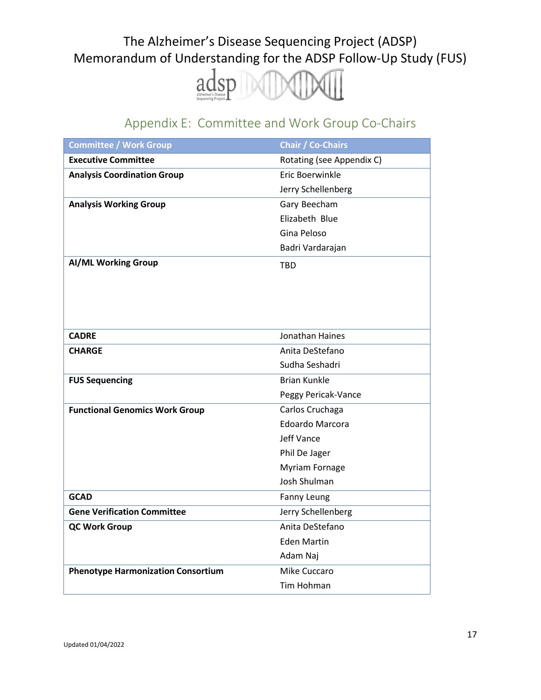

# Appendix E: Committee and Work Group Co-Chairs

| <b>Committee / Work Group</b>             | <b>Chair / Co-Chairs</b>  |
|-------------------------------------------|---------------------------|
| <b>Executive Committee</b>                | Rotating (see Appendix C) |
| <b>Analysis Coordination Group</b>        | Eric Boerwinkle           |
|                                           | Jerry Schellenberg        |
| <b>Analysis Working Group</b>             | Gary Beecham              |
|                                           | Elizabeth Blue            |
|                                           | Gina Peloso               |
|                                           | Badri Vardarajan          |
| <b>AI/ML Working Group</b>                | <b>TBD</b>                |
|                                           |                           |
|                                           |                           |
|                                           |                           |
|                                           |                           |
| <b>CADRE</b>                              | <b>Jonathan Haines</b>    |
| <b>CHARGE</b>                             | Anita DeStefano           |
|                                           | Sudha Seshadri            |
| <b>FUS Sequencing</b>                     | <b>Brian Kunkle</b>       |
|                                           | Peggy Pericak-Vance       |
| <b>Functional Genomics Work Group</b>     | Carlos Cruchaga           |
|                                           | Edoardo Marcora           |
|                                           | <b>Jeff Vance</b>         |
|                                           | Phil De Jager             |
|                                           | <b>Myriam Fornage</b>     |
|                                           | Josh Shulman              |
| <b>GCAD</b>                               | Fanny Leung               |
| <b>Gene Verification Committee</b>        | Jerry Schellenberg        |
| <b>QC Work Group</b>                      | Anita DeStefano           |
|                                           | <b>Eden Martin</b>        |
|                                           | Adam Naj                  |
| <b>Phenotype Harmonization Consortium</b> | Mike Cuccaro              |
|                                           | Tim Hohman                |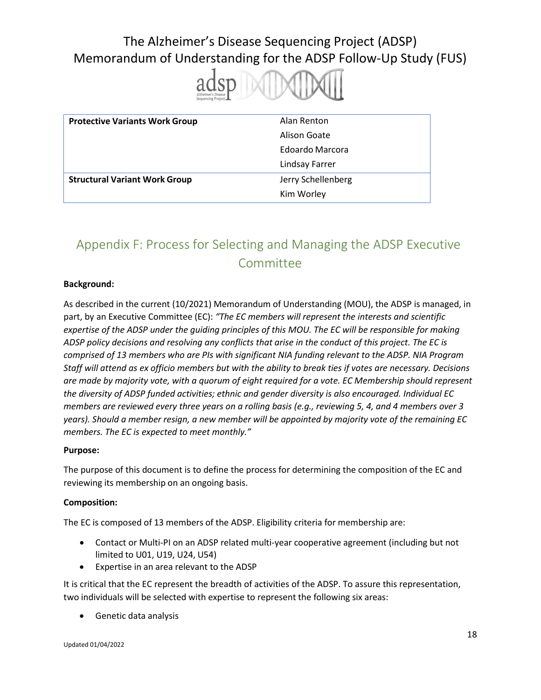

| <b>Protective Variants Work Group</b> | Alan Renton        |
|---------------------------------------|--------------------|
|                                       | Alison Goate       |
|                                       | Edoardo Marcora    |
|                                       | Lindsay Farrer     |
| <b>Structural Variant Work Group</b>  | Jerry Schellenberg |
|                                       | Kim Worley         |

# Appendix F: Process for Selecting and Managing the ADSP Executive Committee

#### **Background:**

As described in the current (10/2021) Memorandum of Understanding (MOU), the ADSP is managed, in part, by an Executive Committee (EC): *"The EC members will represent the interests and scientific expertise of the ADSP under the guiding principles of this MOU. The EC will be responsible for making ADSP policy decisions and resolving any conflicts that arise in the conduct of this project. The EC is comprised of 13 members who are PIs with significant NIA funding relevant to the ADSP. NIA Program Staff will attend as ex officio members but with the ability to break ties if votes are necessary. Decisions are made by majority vote, with a quorum of eight required for a vote. EC Membership should represent the diversity of ADSP funded activities; ethnic and gender diversity is also encouraged. Individual EC members are reviewed every three years on a rolling basis (e.g., reviewing 5, 4, and 4 members over 3 years). Should a member resign, a new member will be appointed by majority vote of the remaining EC members. The EC is expected to meet monthly."*

#### **Purpose:**

The purpose of this document is to define the process for determining the composition of the EC and reviewing its membership on an ongoing basis.

#### **Composition:**

The EC is composed of 13 members of the ADSP. Eligibility criteria for membership are:

- Contact or Multi-PI on an ADSP related multi-year cooperative agreement (including but not limited to U01, U19, U24, U54)
- Expertise in an area relevant to the ADSP

It is critical that the EC represent the breadth of activities of the ADSP. To assure this representation, two individuals will be selected with expertise to represent the following six areas:

• Genetic data analysis